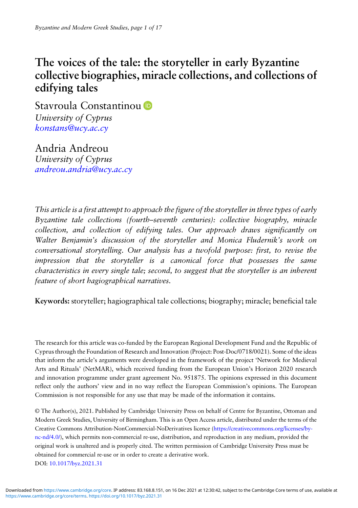# The voices of the tale: the storyteller in early Byzantine collective biographies, miracle collections, and collections of edifying tales

Stavroula Constantinou<sup>D</sup> University of Cyprus [konstans@ucy.ac.cy](mailto:konstans@ucy.ac.cy)

Andria Andreou University of Cyprus [andreou.andria@ucy.ac.cy](mailto:andreou.andria@ucy.ac.cy)

This article is a first attempt to approach the figure of the storyteller in three types of early Byzantine tale collections (fourth–seventh centuries): collective biography, miracle collection, and collection of edifying tales. Our approach draws significantly on Walter Benjamin's discussion of the storyteller and Monica Fludernik's work on conversational storytelling. Our analysis has a twofold purpose: first, to revise the impression that the storyteller is a canonical force that possesses the same characteristics in every single tale; second, to suggest that the storyteller is an inherent feature of short hagiographical narratives.

Keywords: storyteller; hagiographical tale collections; biography; miracle; beneficial tale

The research for this article was co-funded by the European Regional Development Fund and the Republic of Cyprus through the Foundation of Research and Innovation (Project: Post-Doc/0718/0021). Some of the ideas that inform the article's arguments were developed in the framework of the project 'Network for Medieval Arts and Rituals' (NetMAR), which received funding from the European Union's Horizon 2020 research and innovation programme under grant agreement No. 951875. The opinions expressed in this document reflect only the authors' view and in no way reflect the European Commission's opinions. The European Commission is not responsible for any use that may be made of the information it contains.

© The Author(s), 2021. Published by Cambridge University Press on behalf of Centre for Byzantine, Ottoman and Modern Greek Studies, University of Birmingham. This is an Open Access article, distributed under the terms of the Creative Commons Attribution-NonCommercial-NoDerivatives licence [\(https://creativecommons.org/licenses/by](https://creativecommons.org/licenses/by-nc-nd/4.0/)[nc-nd/4.0/\)](https://creativecommons.org/licenses/by-nc-nd/4.0/), which permits non-commercial re-use, distribution, and reproduction in any medium, provided the original work is unaltered and is properly cited. The written permission of Cambridge University Press must be obtained for commercial re-use or in order to create a derivative work. DOI: [10.1017/byz.2021.31](https://doi.org/10.1017/byz.2021.31)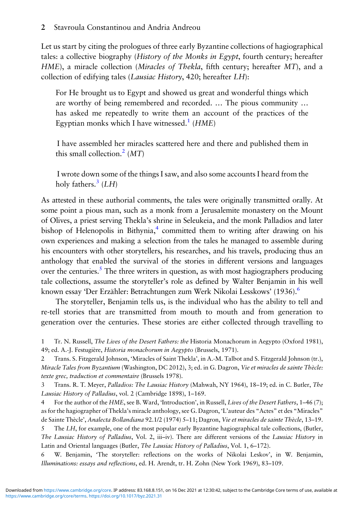Let us start by citing the prologues of three early Byzantine collections of hagiographical tales: a collective biography (*History of the Monks in Egypt*, fourth century; hereafter HME), a miracle collection (Miracles of Thekla, fifth century; hereafter MT), and a collection of edifying tales (Lausiac History, 420; hereafter LH):

For He brought us to Egypt and showed us great and wonderful things which are worthy of being remembered and recorded. … The pious community … has asked me repeatedly to write them an account of the practices of the Egyptian monks which I have witnessed.<sup>1</sup> ( $HME$ )

I have assembled her miracles scattered here and there and published them in this small collection.<sup>2</sup> (MT)

I wrote down some of the things I saw, and also some accounts I heard from the holy fathers.<sup>3</sup>  $(LH)$ 

As attested in these authorial comments, the tales were originally transmitted orally. At some point a pious man, such as a monk from a Jerusalemite monastery on the Mount of Olives, a priest serving Thekla's shrine in Seleukeia, and the monk Palladios and later bishop of Helenopolis in Bithynia, $\frac{4}{3}$  committed them to writing after drawing on his own experiences and making a selection from the tales he managed to assemble during his encounters with other storytellers, his researches, and his travels, producing thus an anthology that enabled the survival of the stories in different versions and languages over the centuries.<sup>5</sup> The three writers in question, as with most hagiographers producing tale collections, assume the storyteller's role as defined by Walter Benjamin in his well known essay 'Der Erzähler: Betrachtungen zum Werk Nikolai Lesskows' (1936).<sup>6</sup>

The storyteller, Benjamin tells us, is the individual who has the ability to tell and re-tell stories that are transmitted from mouth to mouth and from generation to generation over the centuries. These stories are either collected through travelling to

1 Tr. N. Russell, The Lives of the Desert Fathers: the Historia Monachorum in Aegypto (Oxford 1981), 49; ed. A.-J. Festugière, Historia monachorum in Aegypto (Brussels, 1971).

2 Trans. S. Fitzgerald Johnson, 'Miracles of Saint Thekla', in A.-M. Talbot and S. Fitzgerald Johnson (tr.), Miracle Tales from Byzantium (Washington, DC 2012), 3; ed. in G. Dagron, Vie et miracles de sainte Thècle: texte grec, traduction et commentaire (Brussels 1978).

3 Trans. R. T. Meyer, Palladios: The Lausiac History (Mahwah, NY 1964), 18–19; ed. in C. Butler, The Lausiac History of Palladius, vol. 2 (Cambridge 1898), 1–169.

4 For the author of the HME, see B. Ward, 'Introduction', in Russell, Lives of the Desert Fathers, 1–46 (7); as for the hagiographer of Thekla's miracle anthology, see G. Dagron, 'L'auteur des "Actes" et des "Miracles" de Sainte Thècle', Analecta Bollandiana 92.1/2 (1974) 5–11; Dagron, Vie et miracles de sainte Thècle, 13–19.

5 The LH, for example, one of the most popular early Byzantine hagiographical tale collections, (Butler, The Lausiac History of Palladius, Vol. 2, iii–iv). There are different versions of the Lausiac History in Latin and Oriental languages (Butler, The Lausiac History of Palladius, Vol. 1, 6–172).

6 W. Benjamin, 'The storyteller: reflections on the works of Nikolai Leskov', in W. Benjamin, Illuminations: essays and reflections, ed. H. Arendt, tr. H. Zohn (New York 1969), 83–109.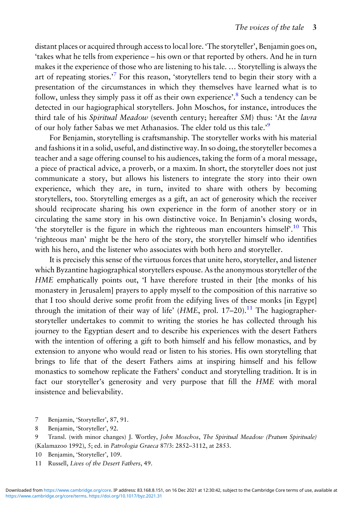distant places or acquired through access to local lore. 'The storyteller', Benjamin goes on, 'takes what he tells from experience – his own or that reported by others. And he in turn makes it the experience of those who are listening to his tale. … Storytelling is always the art of repeating stories.<sup>,7</sup> For this reason, 'storytellers tend to begin their story with a presentation of the circumstances in which they themselves have learned what is to follow, unless they simply pass it off as their own experience'.<sup>8</sup> Such a tendency can be detected in our hagiographical storytellers. John Moschos, for instance, introduces the third tale of his Spiritual Meadow (seventh century; hereafter SM) thus: 'At the lavra of our holy father Sabas we met Athanasios. The elder told us this tale.<sup>59</sup>

For Benjamin, storytelling is craftsmanship. The storyteller works with his material and fashions it in a solid, useful, and distinctive way. In so doing, the storyteller becomes a teacher and a sage offering counsel to his audiences, taking the form of a moral message, a piece of practical advice, a proverb, or a maxim. In short, the storyteller does not just communicate a story, but allows his listeners to integrate the story into their own experience, which they are, in turn, invited to share with others by becoming storytellers, too. Storytelling emerges as a gift, an act of generosity which the receiver should reciprocate sharing his own experience in the form of another story or in circulating the same story in his own distinctive voice. In Benjamin's closing words, 'the storyteller is the figure in which the righteous man encounters himself'.<sup>10</sup> This 'righteous man' might be the hero of the story, the storyteller himself who identifies with his hero, and the listener who associates with both hero and storyteller.

It is precisely this sense of the virtuous forces that unite hero, storyteller, and listener which Byzantine hagiographical storytellers espouse. As the anonymous storyteller of the HME emphatically points out, 'I have therefore trusted in their [the monks of his monastery in Jerusalem] prayers to apply myself to the composition of this narrative so that I too should derive some profit from the edifying lives of these monks [in Egypt] through the imitation of their way of life' ( $HME$ , prol. 17–20).<sup>11</sup> The hagiographerstoryteller undertakes to commit to writing the stories he has collected through his journey to the Egyptian desert and to describe his experiences with the desert Fathers with the intention of offering a gift to both himself and his fellow monastics, and by extension to anyone who would read or listen to his stories. His own storytelling that brings to life that of the desert Fathers aims at inspiring himself and his fellow monastics to somehow replicate the Fathers' conduct and storytelling tradition. It is in fact our storyteller's generosity and very purpose that fill the HME with moral insistence and believability.

- 7 Benjamin, 'Storyteller', 87, 91.
- 8 Benjamin, 'Storyteller', 92.

9 Transl. (with minor changes) J. Wortley, John Moschos, The Spiritual Meadow (Pratum Spirituale) (Kalamazoo 1992), 5; ed. in Patrologia Graeca 87/3: 2852–3112, at 2853.

- 10 Benjamin, 'Storyteller', 109.
- 11 Russell, Lives of the Desert Fathers, 49.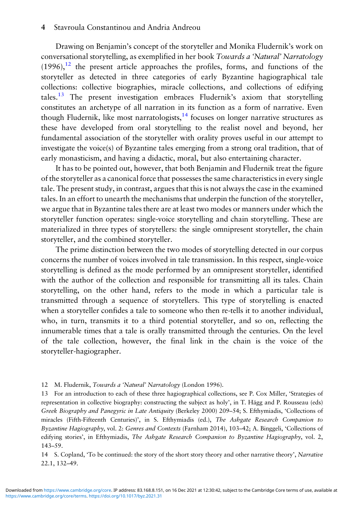#### 4 Stavroula Constantinou and Andria Andreou

Drawing on Benjamin's concept of the storyteller and Monika Fludernik's work on conversational storytelling, as exemplified in her book Towards a 'Natural' Narratology  $(1996)$ ,<sup>12</sup> the present article approaches the profiles, forms, and functions of the storyteller as detected in three categories of early Byzantine hagiographical tale collections: collective biographies, miracle collections, and collections of edifying tales.13 The present investigation embraces Fludernik's axiom that storytelling constitutes an archetype of all narration in its function as a form of narrative. Even though Fludernik, like most narratologists, $14$  focuses on longer narrative structures as these have developed from oral storytelling to the realist novel and beyond, her fundamental association of the storyteller with orality proves useful in our attempt to investigate the voice(s) of Byzantine tales emerging from a strong oral tradition, that of early monasticism, and having a didactic, moral, but also entertaining character.

It has to be pointed out, however, that both Benjamin and Fludernik treat the figure of the storyteller as a canonical force that possesses the same characteristics in every single tale. The present study, in contrast, argues that this is not always the case in the examined tales. In an effort to unearth the mechanisms that underpin the function of the storyteller, we argue that in Byzantine tales there are at least two modes or manners under which the storyteller function operates: single-voice storytelling and chain storytelling. These are materialized in three types of storytellers: the single omnipresent storyteller, the chain storyteller, and the combined storyteller.

The prime distinction between the two modes of storytelling detected in our corpus concerns the number of voices involved in tale transmission. In this respect, single-voice storytelling is defined as the mode performed by an omnipresent storyteller, identified with the author of the collection and responsible for transmitting all its tales. Chain storytelling, on the other hand, refers to the mode in which a particular tale is transmitted through a sequence of storytellers. This type of storytelling is enacted when a storyteller confides a tale to someone who then re-tells it to another individual, who, in turn, transmits it to a third potential storyteller, and so on, reflecting the innumerable times that a tale is orally transmitted through the centuries. On the level of the tale collection, however, the final link in the chain is the voice of the storyteller-hagiographer.

#### 12 M. Fludernik, Towards a 'Natural' Narratology (London 1996).

13 For an introduction to each of these three hagiographical collections, see P. Cox Miller, 'Strategies of representation in collective biography: constructing the subject as holy', in T. Hägg and P. Rousseau (eds) Greek Biography and Panegyric in Late Antiquity (Berkeley 2000) 209–54; S. Efthymiadis, 'Collections of miracles (Fifth-Fifteenth Centuries)', in S. Efthymiadis (ed.), The Ashgate Research Companion to Byzantine Hagiography, vol. 2: Genres and Contexts (Farnham 2014), 103–42; A. Binggeli, 'Collections of edifying stories', in Efthymiadis, The Ashgate Research Companion to Byzantine Hagiography, vol. 2, 143–59.

14 S. Copland, 'To be continued: the story of the short story theory and other narrative theory', Narrative 22.1, 132–49.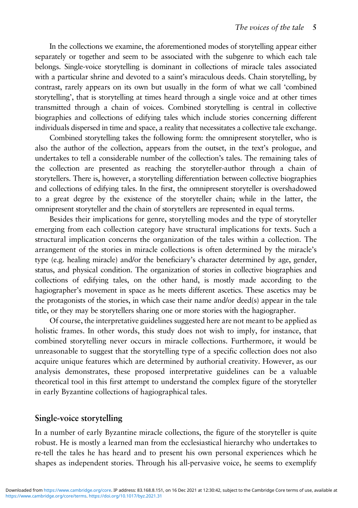In the collections we examine, the aforementioned modes of storytelling appear either separately or together and seem to be associated with the subgenre to which each tale belongs. Single-voice storytelling is dominant in collections of miracle tales associated with a particular shrine and devoted to a saint's miraculous deeds. Chain storytelling, by contrast, rarely appears on its own but usually in the form of what we call 'combined storytelling', that is storytelling at times heard through a single voice and at other times transmitted through a chain of voices. Combined storytelling is central in collective biographies and collections of edifying tales which include stories concerning different individuals dispersed in time and space, a reality that necessitates a collective tale exchange.

Combined storytelling takes the following form: the omnipresent storyteller, who is also the author of the collection, appears from the outset, in the text's prologue, and undertakes to tell a considerable number of the collection's tales. The remaining tales of the collection are presented as reaching the storyteller-author through a chain of storytellers. There is, however, a storytelling differentiation between collective biographies and collections of edifying tales. In the first, the omnipresent storyteller is overshadowed to a great degree by the existence of the storyteller chain; while in the latter, the omnipresent storyteller and the chain of storytellers are represented in equal terms.

Besides their implications for genre, storytelling modes and the type of storyteller emerging from each collection category have structural implications for texts. Such a structural implication concerns the organization of the tales within a collection. The arrangement of the stories in miracle collections is often determined by the miracle's type (e.g. healing miracle) and/or the beneficiary's character determined by age, gender, status, and physical condition. The organization of stories in collective biographies and collections of edifying tales, on the other hand, is mostly made according to the hagiographer's movement in space as he meets different ascetics. These ascetics may be the protagonists of the stories, in which case their name and/or deed(s) appear in the tale title, or they may be storytellers sharing one or more stories with the hagiographer.

Of course, the interpretative guidelines suggested here are not meant to be applied as holistic frames. In other words, this study does not wish to imply, for instance, that combined storytelling never occurs in miracle collections. Furthermore, it would be unreasonable to suggest that the storytelling type of a specific collection does not also acquire unique features which are determined by authorial creativity. However, as our analysis demonstrates, these proposed interpretative guidelines can be a valuable theoretical tool in this first attempt to understand the complex figure of the storyteller in early Byzantine collections of hagiographical tales.

## Single-voice storytelling

In a number of early Byzantine miracle collections, the figure of the storyteller is quite robust. He is mostly a learned man from the ecclesiastical hierarchy who undertakes to re-tell the tales he has heard and to present his own personal experiences which he shapes as independent stories. Through his all-pervasive voice, he seems to exemplify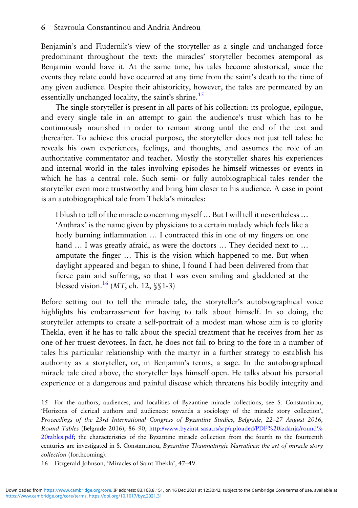Benjamin's and Fludernik's view of the storyteller as a single and unchanged force predominant throughout the text: the miracles' storyteller becomes atemporal as Benjamin would have it. At the same time, his tales become ahistorical, since the events they relate could have occurred at any time from the saint's death to the time of any given audience. Despite their ahistoricity, however, the tales are permeated by an essentially unchanged locality, the saint's shrine.<sup>15</sup>

The single storyteller is present in all parts of his collection: its prologue, epilogue, and every single tale in an attempt to gain the audience's trust which has to be continuously nourished in order to remain strong until the end of the text and thereafter. To achieve this crucial purpose, the storyteller does not just tell tales: he reveals his own experiences, feelings, and thoughts, and assumes the role of an authoritative commentator and teacher. Mostly the storyteller shares his experiences and internal world in the tales involving episodes he himself witnesses or events in which he has a central role. Such semi- or fully autobiographical tales render the storyteller even more trustworthy and bring him closer to his audience. A case in point is an autobiographical tale from Thekla's miracles:

I blush to tell of the miracle concerning myself … But I will tell it nevertheless … 'Anthrax' is the name given by physicians to a certain malady which feels like a hotly burning inflammation  $\dots$  I contracted this in one of my fingers on one hand ... I was greatly afraid, as were the doctors ... They decided next to ... amputate the finger … This is the vision which happened to me. But when daylight appeared and began to shine, I found I had been delivered from that fierce pain and suffering, so that I was even smiling and gladdened at the blessed vision.<sup>16</sup> (MT, ch. 12,  $\S$ 1-3)

Before setting out to tell the miracle tale, the storyteller's autobiographical voice highlights his embarrassment for having to talk about himself. In so doing, the storyteller attempts to create a self-portrait of a modest man whose aim is to glorify Thekla, even if he has to talk about the special treatment that he receives from her as one of her truest devotees. In fact, he does not fail to bring to the fore in a number of tales his particular relationship with the martyr in a further strategy to establish his authority as a storyteller, or, in Benjamin's terms, a sage. In the autobiographical miracle tale cited above, the storyteller lays himself open. He talks about his personal experience of a dangerous and painful disease which threatens his bodily integrity and

15 For the authors, audiences, and localities of Byzantine miracle collections, see S. Constantinou, 'Horizons of clerical authors and audiences: towards a sociology of the miracle story collection', Proceedings of the 23rd International Congress of Byzantine Studies, Belgrade, 22–27 August 2016, Round Tables (Belgrade 2016), 86–90, [http://www.byzinst-sasa.rs/srp/uploaded/PDF%20izdanja/round%](http://www.byzinst-sasa.rs/srp/uploaded/PDF%20izdanja/round%20tables.pdf) [20tables.pdf](http://www.byzinst-sasa.rs/srp/uploaded/PDF%20izdanja/round%20tables.pdf); the characteristics of the Byzantine miracle collection from the fourth to the fourteenth centuries are investigated in S. Constantinou, Byzantine Thaumaturgic Narratives: the art of miracle story collection (forthcoming).

16 Fitzgerald Johnson, 'Miracles of Saint Thekla', 47–49.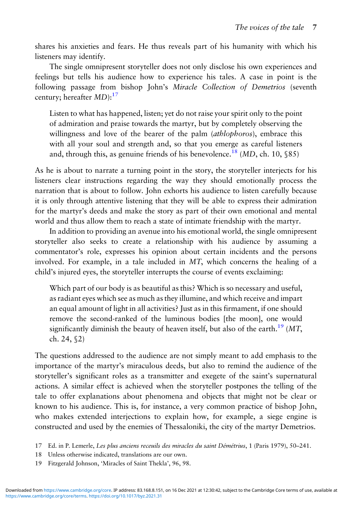shares his anxieties and fears. He thus reveals part of his humanity with which his listeners may identify.

The single omnipresent storyteller does not only disclose his own experiences and feelings but tells his audience how to experience his tales. A case in point is the following passage from bishop John's Miracle Collection of Demetrios (seventh century; hereafter  $MD$ ):<sup>17</sup>

Listen to what has happened, listen; yet do not raise your spirit only to the point of admiration and praise towards the martyr, but by completely observing the willingness and love of the bearer of the palm *(athlophoros)*, embrace this with all your soul and strength and, so that you emerge as careful listeners and, through this, as genuine friends of his benevolence.<sup>18</sup> (MD, ch. 10,  $$85$ )

As he is about to narrate a turning point in the story, the storyteller interjects for his listeners clear instructions regarding the way they should emotionally process the narration that is about to follow. John exhorts his audience to listen carefully because it is only through attentive listening that they will be able to express their admiration for the martyr's deeds and make the story as part of their own emotional and mental world and thus allow them to reach a state of intimate friendship with the martyr.

In addition to providing an avenue into his emotional world, the single omnipresent storyteller also seeks to create a relationship with his audience by assuming a commentator's role, expresses his opinion about certain incidents and the persons involved. For example, in a tale included in MT, which concerns the healing of a child's injured eyes, the storyteller interrupts the course of events exclaiming:

Which part of our body is as beautiful as this? Which is so necessary and useful, as radiant eyes which see as much as they illumine, and which receive and impart an equal amount of light in all activities? Just as in this firmament, if one should remove the second-ranked of the luminous bodies [the moon], one would significantly diminish the beauty of heaven itself, but also of the earth.<sup>19</sup> (MT, ch. 24, §2)

The questions addressed to the audience are not simply meant to add emphasis to the importance of the martyr's miraculous deeds, but also to remind the audience of the storyteller's significant roles as a transmitter and exegete of the saint's supernatural actions. A similar effect is achieved when the storyteller postpones the telling of the tale to offer explanations about phenomena and objects that might not be clear or known to his audience. This is, for instance, a very common practice of bishop John, who makes extended interjections to explain how, for example, a siege engine is constructed and used by the enemies of Thessaloniki, the city of the martyr Demetrios.

- 18 Unless otherwise indicated, translations are our own.
- 19 Fitzgerald Johnson, 'Miracles of Saint Thekla', 96, 98.

<sup>17</sup> Ed. in P. Lemerle, Les plus anciens receuils des miracles du saint Démétrius, 1 (Paris 1979), 50–241.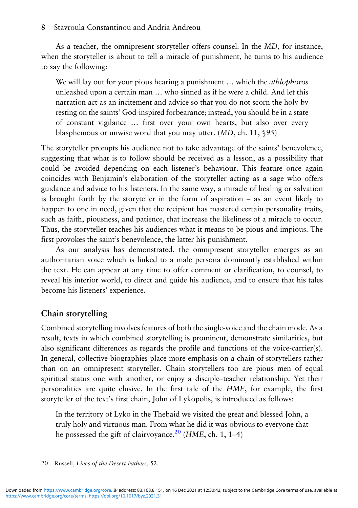As a teacher, the omnipresent storyteller offers counsel. In the MD, for instance, when the storyteller is about to tell a miracle of punishment, he turns to his audience to say the following:

We will lay out for your pious hearing a punishment ... which the *athlophoros* unleashed upon a certain man … who sinned as if he were a child. And let this narration act as an incitement and advice so that you do not scorn the holy by resting on the saints' God-inspired forbearance; instead, you should be in a state of constant vigilance … first over your own hearts, but also over every blasphemous or unwise word that you may utter. (MD, ch. 11, §95)

The storyteller prompts his audience not to take advantage of the saints' benevolence, suggesting that what is to follow should be received as a lesson, as a possibility that could be avoided depending on each listener's behaviour. This feature once again coincides with Benjamin's elaboration of the storyteller acting as a sage who offers guidance and advice to his listeners. In the same way, a miracle of healing or salvation is brought forth by the storyteller in the form of aspiration – as an event likely to happen to one in need, given that the recipient has mastered certain personality traits, such as faith, piousness, and patience, that increase the likeliness of a miracle to occur. Thus, the storyteller teaches his audiences what it means to be pious and impious. The first provokes the saint's benevolence, the latter his punishment.

As our analysis has demonstrated, the omnipresent storyteller emerges as an authoritarian voice which is linked to a male persona dominantly established within the text. He can appear at any time to offer comment or clarification, to counsel, to reveal his interior world, to direct and guide his audience, and to ensure that his tales become his listeners' experience.

## Chain storytelling

Combined storytelling involves features of both the single-voice and the chain mode. As a result, texts in which combined storytelling is prominent, demonstrate similarities, but also significant differences as regards the profile and functions of the voice-carrier(s). In general, collective biographies place more emphasis on a chain of storytellers rather than on an omnipresent storyteller. Chain storytellers too are pious men of equal spiritual status one with another, or enjoy a disciple–teacher relationship. Yet their personalities are quite elusive. In the first tale of the HME, for example, the first storyteller of the text's first chain, John of Lykopolis, is introduced as follows:

In the territory of Lyko in the Thebaid we visited the great and blessed John, a truly holy and virtuous man. From what he did it was obvious to everyone that he possessed the gift of clairvoyance.<sup>20</sup> (*HME*, ch. 1, 1–4)

20 Russell, Lives of the Desert Fathers, 52.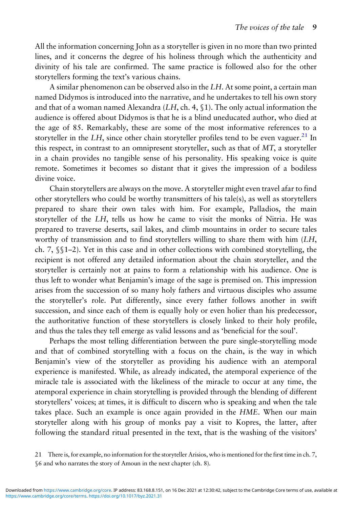All the information concerning John as a storyteller is given in no more than two printed lines, and it concerns the degree of his holiness through which the authenticity and divinity of his tale are confirmed. The same practice is followed also for the other storytellers forming the text's various chains.

A similar phenomenon can be observed also in the LH. At some point, a certain man named Didymos is introduced into the narrative, and he undertakes to tell his own story and that of a woman named Alexandra  $(LH, ch. 4, \S1)$ . The only actual information the audience is offered about Didymos is that he is a blind uneducated author, who died at the age of 85. Remarkably, these are some of the most informative references to a storyteller in the LH, since other chain storyteller profiles tend to be even vaguer.<sup>21</sup> In this respect, in contrast to an omnipresent storyteller, such as that of MT, a storyteller in a chain provides no tangible sense of his personality. His speaking voice is quite remote. Sometimes it becomes so distant that it gives the impression of a bodiless divine voice.

Chain storytellers are always on the move. A storyteller might even travel afar to find other storytellers who could be worthy transmitters of his tale(s), as well as storytellers prepared to share their own tales with him. For example, Palladios, the main storyteller of the LH, tells us how he came to visit the monks of Nitria. He was prepared to traverse deserts, sail lakes, and climb mountains in order to secure tales worthy of transmission and to find storytellers willing to share them with him (LH, ch. 7, §§1–2). Yet in this case and in other collections with combined storytelling, the recipient is not offered any detailed information about the chain storyteller, and the storyteller is certainly not at pains to form a relationship with his audience. One is thus left to wonder what Benjamin's image of the sage is premised on. This impression arises from the succession of so many holy fathers and virtuous disciples who assume the storyteller's role. Put differently, since every father follows another in swift succession, and since each of them is equally holy or even holier than his predecessor, the authoritative function of these storytellers is closely linked to their holy profile, and thus the tales they tell emerge as valid lessons and as 'beneficial for the soul'.

Perhaps the most telling differentiation between the pure single-storytelling mode and that of combined storytelling with a focus on the chain, is the way in which Benjamin's view of the storyteller as providing his audience with an atemporal experience is manifested. While, as already indicated, the atemporal experience of the miracle tale is associated with the likeliness of the miracle to occur at any time, the atemporal experience in chain storytelling is provided through the blending of different storytellers' voices; at times, it is difficult to discern who is speaking and when the tale takes place. Such an example is once again provided in the HME. When our main storyteller along with his group of monks pay a visit to Kopres, the latter, after following the standard ritual presented in the text, that is the washing of the visitors'

<sup>21</sup> There is, for example, no information for the storyteller Arisios, who is mentioned for the first time in ch. 7, §6 and who narrates the story of Amoun in the next chapter (ch. 8).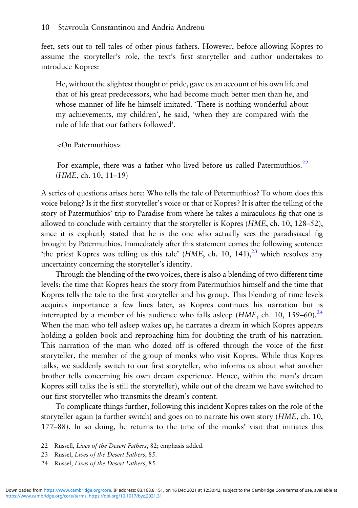feet, sets out to tell tales of other pious fathers. However, before allowing Kopres to assume the storyteller's role, the text's first storyteller and author undertakes to introduce Kopres:

He, without the slightest thought of pride, gave us an account of his own life and that of his great predecessors, who had become much better men than he, and whose manner of life he himself imitated. 'There is nothing wonderful about my achievements, my children', he said, 'when they are compared with the rule of life that our fathers followed'.

<On Patermuthios>

For example, there was a father who lived before us called Patermuthios.<sup>22</sup> (HME, ch. 10, 11–19)

A series of questions arises here: Who tells the tale of Petermuthios? To whom does this voice belong? Is it the first storyteller's voice or that of Kopres? It is after the telling of the story of Patermuthios' trip to Paradise from where he takes a miraculous fig that one is allowed to conclude with certainty that the storyteller is Kopres (HME, ch. 10, 128–52), since it is explicitly stated that he is the one who actually sees the paradisiacal fig brought by Patermuthios. Immediately after this statement comes the following sentence: 'the priest Kopres was telling us this tale'  $(HME, ch. 10, 141),$ <sup>23</sup> which resolves any uncertainty concerning the storyteller's identity.

Through the blending of the two voices, there is also a blending of two different time levels: the time that Kopres hears the story from Patermuthios himself and the time that Kopres tells the tale to the first storyteller and his group. This blending of time levels acquires importance a few lines later, as Kopres continues his narration but is interrupted by a member of his audience who falls asleep ( $HME$ , ch. 10, 159–60).<sup>24</sup> When the man who fell asleep wakes up, he narrates a dream in which Kopres appears holding a golden book and reproaching him for doubting the truth of his narration. This narration of the man who dozed off is offered through the voice of the first storyteller, the member of the group of monks who visit Kopres. While thus Kopres talks, we suddenly switch to our first storyteller, who informs us about what another brother tells concerning his own dream experience. Hence, within the man's dream Kopres still talks (he is still the storyteller), while out of the dream we have switched to our first storyteller who transmits the dream's content.

To complicate things further, following this incident Kopres takes on the role of the storyteller again (a further switch) and goes on to narrate his own story (HME, ch. 10, 177–88). In so doing, he returns to the time of the monks' visit that initiates this

<sup>22</sup> Russell, Lives of the Desert Fathers, 82; emphasis added.

<sup>23</sup> Russel, Lives of the Desert Fathers, 85.

<sup>24</sup> Russel, Lives of the Desert Fathers, 85.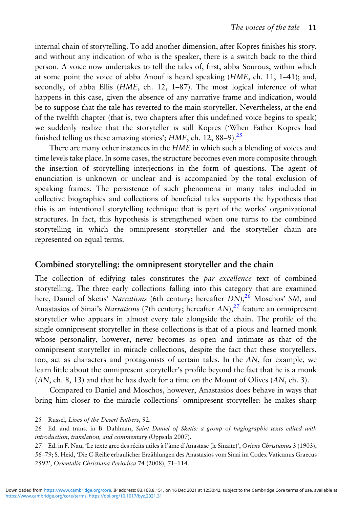internal chain of storytelling. To add another dimension, after Kopres finishes his story, and without any indication of who is the speaker, there is a switch back to the third person. A voice now undertakes to tell the tales of, first, abba Sourous, within which at some point the voice of abba Anouf is heard speaking  $(HME, ch. 11, 1–41)$ ; and, secondly, of abba Ellis (HME, ch. 12, 1–87). The most logical inference of what happens in this case, given the absence of any narrative frame and indication, would be to suppose that the tale has reverted to the main storyteller. Nevertheless, at the end of the twelfth chapter (that is, two chapters after this undefined voice begins to speak) we suddenly realize that the storyteller is still Kopres ('When Father Kopres had finished telling us these amazing stories';  $HME$ , ch. 12, 88–9).<sup>25</sup>

There are many other instances in the HME in which such a blending of voices and time levels take place. In some cases, the structure becomes even more composite through the insertion of storytelling interjections in the form of questions. The agent of enunciation is unknown or unclear and is accompanied by the total exclusion of speaking frames. The persistence of such phenomena in many tales included in collective biographies and collections of beneficial tales supports the hypothesis that this is an intentional storytelling technique that is part of the works' organizational structures. In fact, this hypothesis is strengthened when one turns to the combined storytelling in which the omnipresent storyteller and the storyteller chain are represented on equal terms.

### Combined storytelling: the omnipresent storyteller and the chain

The collection of edifying tales constitutes the par excellence text of combined storytelling. The three early collections falling into this category that are examined here, Daniel of Sketis' Narrations (6th century; hereafter DN),<sup>26</sup> Moschos' SM, and Anastasios of Sinai's Narrations (7th century; hereafter  $AN$ ),  $27$  feature an omnipresent storyteller who appears in almost every tale alongside the chain. The profile of the single omnipresent storyteller in these collections is that of a pious and learned monk whose personality, however, never becomes as open and intimate as that of the omnipresent storyteller in miracle collections, despite the fact that these storytellers, too, act as characters and protagonists of certain tales. In the AN, for example, we learn little about the omnipresent storyteller's profile beyond the fact that he is a monk (AN, ch. 8, 13) and that he has dwelt for a time on the Mount of Olives (AN, ch. 3).

Compared to Daniel and Moschos, however, Anastasios does behave in ways that bring him closer to the miracle collections' omnipresent storyteller: he makes sharp

25 Russel, Lives of the Desert Fathers, 92.

26 Ed. and trans. in B. Dahlman, Saint Daniel of Sketis: a group of hagiographic texts edited with introduction, translation, and commentary (Uppsala 2007).

27 Ed. in F. Nau, 'Le texte grec des récits utiles à l'âme d'Anastase (le Sinaïte)', Oriens Christianus 3 (1903), 56–79; S. Heid, 'Die C-Reihe erbaulicher Erzählungen des Anastasios vom Sinai im Codex Vaticanus Graecus 2592', Orientalia Christiana Periodica 74 (2008), 71–114.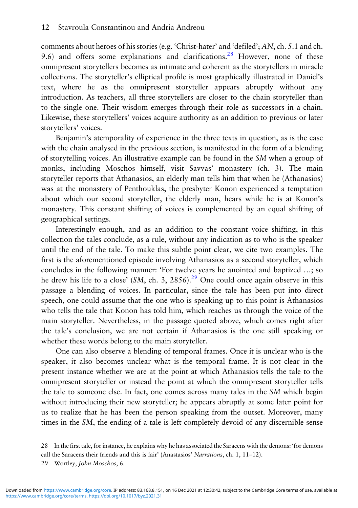comments about heroes of his stories (e.g. 'Christ-hater' and 'defiled'; AN, ch. 5.1 and ch. 9.6) and offers some explanations and clarifications.<sup>28</sup> However, none of these omnipresent storytellers becomes as intimate and coherent as the storytellers in miracle collections. The storyteller's elliptical profile is most graphically illustrated in Daniel's text, where he as the omnipresent storyteller appears abruptly without any introduction. As teachers, all three storytellers are closer to the chain storyteller than to the single one. Their wisdom emerges through their role as successors in a chain. Likewise, these storytellers' voices acquire authority as an addition to previous or later storytellers' voices.

Benjamin's atemporality of experience in the three texts in question, as is the case with the chain analysed in the previous section, is manifested in the form of a blending of storytelling voices. An illustrative example can be found in the SM when a group of monks, including Moschos himself, visit Savvas' monastery (ch. 3). The main storyteller reports that Athanasios, an elderly man tells him that when he (Athanasios) was at the monastery of Penthouklas, the presbyter Konon experienced a temptation about which our second storyteller, the elderly man, hears while he is at Konon's monastery. This constant shifting of voices is complemented by an equal shifting of geographical settings.

Interestingly enough, and as an addition to the constant voice shifting, in this collection the tales conclude, as a rule, without any indication as to who is the speaker until the end of the tale. To make this subtle point clear, we cite two examples. The first is the aforementioned episode involving Athanasios as a second storyteller, which concludes in the following manner: 'For twelve years he anointed and baptized …; so he drew his life to a close' (SM, ch. 3, 2856).<sup>29</sup> One could once again observe in this passage a blending of voices. In particular, since the tale has been put into direct speech, one could assume that the one who is speaking up to this point is Athanasios who tells the tale that Konon has told him, which reaches us through the voice of the main storyteller. Nevertheless, in the passage quoted above, which comes right after the tale's conclusion, we are not certain if Athanasios is the one still speaking or whether these words belong to the main storyteller.

One can also observe a blending of temporal frames. Once it is unclear who is the speaker, it also becomes unclear what is the temporal frame. It is not clear in the present instance whether we are at the point at which Athanasios tells the tale to the omnipresent storyteller or instead the point at which the omnipresent storyteller tells the tale to someone else. In fact, one comes across many tales in the SM which begin without introducing their new storyteller; he appears abruptly at some later point for us to realize that he has been the person speaking from the outset. Moreover, many times in the SM, the ending of a tale is left completely devoid of any discernible sense

<sup>28</sup> In the first tale, for instance, he explains why he has associated the Saracens with the demons: 'for demons

call the Saracens their friends and this is fair' (Anastasios' Narrations, ch. 1, 11–12).

<sup>29</sup> Wortley, John Moschos, 6.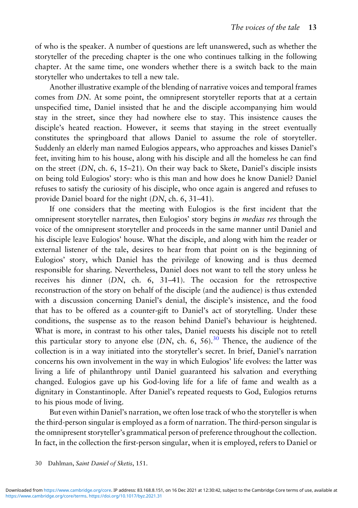of who is the speaker. A number of questions are left unanswered, such as whether the storyteller of the preceding chapter is the one who continues talking in the following chapter. At the same time, one wonders whether there is a switch back to the main storyteller who undertakes to tell a new tale.

Another illustrative example of the blending of narrative voices and temporal frames comes from DN. At some point, the omnipresent storyteller reports that at a certain unspecified time, Daniel insisted that he and the disciple accompanying him would stay in the street, since they had nowhere else to stay. This insistence causes the disciple's heated reaction. However, it seems that staying in the street eventually constitutes the springboard that allows Daniel to assume the role of storyteller. Suddenly an elderly man named Eulogios appears, who approaches and kisses Daniel's feet, inviting him to his house, along with his disciple and all the homeless he can find on the street  $(DN, ch. 6, 15–21)$ . On their way back to Skete, Daniel's disciple insists on being told Eulogios' story: who is this man and how does he know Daniel? Daniel refuses to satisfy the curiosity of his disciple, who once again is angered and refuses to provide Daniel board for the night (DN, ch. 6, 31–41).

If one considers that the meeting with Eulogios is the first incident that the omnipresent storyteller narrates, then Eulogios' story begins in medias res through the voice of the omnipresent storyteller and proceeds in the same manner until Daniel and his disciple leave Eulogios' house. What the disciple, and along with him the reader or external listener of the tale, desires to hear from that point on is the beginning of Eulogios' story, which Daniel has the privilege of knowing and is thus deemed responsible for sharing. Nevertheless, Daniel does not want to tell the story unless he receives his dinner (DN, ch. 6, 31–41). The occasion for the retrospective reconstruction of the story on behalf of the disciple (and the audience) is thus extended with a discussion concerning Daniel's denial, the disciple's insistence, and the food that has to be offered as a counter-gift to Daniel's act of storytelling. Under these conditions, the suspense as to the reason behind Daniel's behaviour is heightened. What is more, in contrast to his other tales, Daniel requests his disciple not to retell this particular story to anyone else  $(DN, ch. 6, 56).$ <sup>30</sup> Thence, the audience of the collection is in a way initiated into the storyteller's secret. In brief, Daniel's narration concerns his own involvement in the way in which Eulogios' life evolves: the latter was living a life of philanthropy until Daniel guaranteed his salvation and everything changed. Eulogios gave up his God-loving life for a life of fame and wealth as a dignitary in Constantinople. After Daniel's repeated requests to God, Eulogios returns to his pious mode of living.

But even within Daniel's narration, we often lose track of who the storyteller is when the third-person singular is employed as a form of narration. The third-person singular is the omnipresent storyteller's grammatical person of preference throughout the collection. In fact, in the collection the first-person singular, when it is employed, refers to Daniel or

<sup>30</sup> Dahlman, Saint Daniel of Sketis, 151.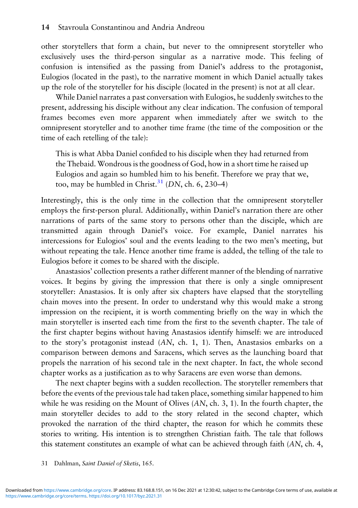other storytellers that form a chain, but never to the omnipresent storyteller who exclusively uses the third-person singular as a narrative mode. This feeling of confusion is intensified as the passing from Daniel's address to the protagonist, Eulogios (located in the past), to the narrative moment in which Daniel actually takes up the role of the storyteller for his disciple (located in the present) is not at all clear.

While Daniel narrates a past conversation with Eulogios, he suddenly switches to the present, addressing his disciple without any clear indication. The confusion of temporal frames becomes even more apparent when immediately after we switch to the omnipresent storyteller and to another time frame (the time of the composition or the time of each retelling of the tale):

This is what Abba Daniel confided to his disciple when they had returned from the Thebaid. Wondrous is the goodness of God, how in a short time he raised up Eulogios and again so humbled him to his benefit. Therefore we pray that we, too, may be humbled in Christ.<sup>31</sup> (DN, ch. 6, 230–4)

Interestingly, this is the only time in the collection that the omnipresent storyteller employs the first-person plural. Additionally, within Daniel's narration there are other narrations of parts of the same story to persons other than the disciple, which are transmitted again through Daniel's voice. For example, Daniel narrates his intercessions for Eulogios' soul and the events leading to the two men's meeting, but without repeating the tale. Hence another time frame is added, the telling of the tale to Eulogios before it comes to be shared with the disciple.

Anastasios' collection presents a rather different manner of the blending of narrative voices. It begins by giving the impression that there is only a single omnipresent storyteller: Anastasios. It is only after six chapters have elapsed that the storytelling chain moves into the present. In order to understand why this would make a strong impression on the recipient, it is worth commenting briefly on the way in which the main storyteller is inserted each time from the first to the seventh chapter. The tale of the first chapter begins without having Anastasios identify himself: we are introduced to the story's protagonist instead (AN, ch. 1, 1). Then, Anastasios embarks on a comparison between demons and Saracens, which serves as the launching board that propels the narration of his second tale in the next chapter. In fact, the whole second chapter works as a justification as to why Saracens are even worse than demons.

The next chapter begins with a sudden recollection. The storyteller remembers that before the events of the previous tale had taken place, something similar happened to him while he was residing on the Mount of Olives (AN, ch. 3, 1). In the fourth chapter, the main storyteller decides to add to the story related in the second chapter, which provoked the narration of the third chapter, the reason for which he commits these stories to writing. His intention is to strengthen Christian faith. The tale that follows this statement constitutes an example of what can be achieved through faith (AN, ch. 4,

#### 31 Dahlman, Saint Daniel of Sketis, 165.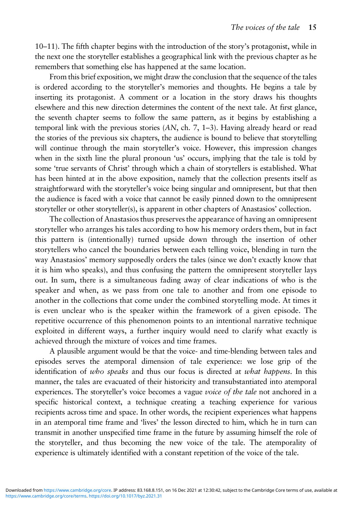10–11). The fifth chapter begins with the introduction of the story's protagonist, while in the next one the storyteller establishes a geographical link with the previous chapter as he remembers that something else has happened at the same location.

From this brief exposition, we might draw the conclusion that the sequence of the tales is ordered according to the storyteller's memories and thoughts. He begins a tale by inserting its protagonist. A comment or a location in the story draws his thoughts elsewhere and this new direction determines the content of the next tale. At first glance, the seventh chapter seems to follow the same pattern, as it begins by establishing a temporal link with the previous stories (AN, ch. 7, 1–3). Having already heard or read the stories of the previous six chapters, the audience is bound to believe that storytelling will continue through the main storyteller's voice. However, this impression changes when in the sixth line the plural pronoun 'us' occurs, implying that the tale is told by some 'true servants of Christ' through which a chain of storytellers is established. What has been hinted at in the above exposition, namely that the collection presents itself as straightforward with the storyteller's voice being singular and omnipresent, but that then the audience is faced with a voice that cannot be easily pinned down to the omnipresent storyteller or other storyteller(s), is apparent in other chapters of Anastasios' collection.

The collection of Anastasios thus preserves the appearance of having an omnipresent storyteller who arranges his tales according to how his memory orders them, but in fact this pattern is (intentionally) turned upside down through the insertion of other storytellers who cancel the boundaries between each telling voice, blending in turn the way Anastasios' memory supposedly orders the tales (since we don't exactly know that it is him who speaks), and thus confusing the pattern the omnipresent storyteller lays out. In sum, there is a simultaneous fading away of clear indications of who is the speaker and when, as we pass from one tale to another and from one episode to another in the collections that come under the combined storytelling mode. At times it is even unclear who is the speaker within the framework of a given episode. The repetitive occurrence of this phenomenon points to an intentional narrative technique exploited in different ways, a further inquiry would need to clarify what exactly is achieved through the mixture of voices and time frames.

A plausible argument would be that the voice- and time-blending between tales and episodes serves the atemporal dimension of tale experience: we lose grip of the identification of who speaks and thus our focus is directed at what happens. In this manner, the tales are evacuated of their historicity and transubstantiated into atemporal experiences. The storyteller's voice becomes a vague *voice of the tale* not anchored in a specific historical context, a technique creating a teaching experience for various recipients across time and space. In other words, the recipient experiences what happens in an atemporal time frame and 'lives' the lesson directed to him, which he in turn can transmit in another unspecified time frame in the future by assuming himself the role of the storyteller, and thus becoming the new voice of the tale. The atemporality of experience is ultimately identified with a constant repetition of the voice of the tale.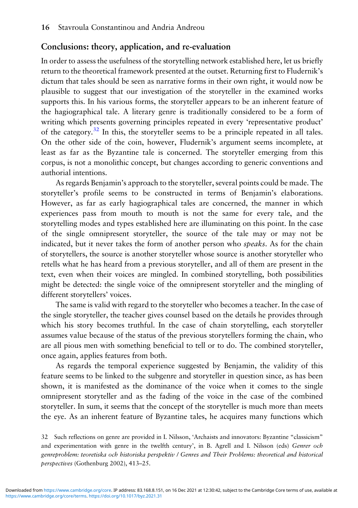## Conclusions: theory, application, and re-evaluation

In order to assess the usefulness of the storytelling network established here, let us briefly return to the theoretical framework presented at the outset. Returning first to Fludernik's dictum that tales should be seen as narrative forms in their own right, it would now be plausible to suggest that our investigation of the storyteller in the examined works supports this. In his various forms, the storyteller appears to be an inherent feature of the hagiographical tale. A literary genre is traditionally considered to be a form of writing which presents governing principles repeated in every 'representative product' of the category.<sup>32</sup> In this, the storyteller seems to be a principle repeated in all tales. On the other side of the coin, however, Fludernik's argument seems incomplete, at least as far as the Byzantine tale is concerned. The storyteller emerging from this corpus, is not a monolithic concept, but changes according to generic conventions and authorial intentions.

As regards Benjamin's approach to the storyteller, several points could be made. The storyteller's profile seems to be constructed in terms of Benjamin's elaborations. However, as far as early hagiographical tales are concerned, the manner in which experiences pass from mouth to mouth is not the same for every tale, and the storytelling modes and types established here are illuminating on this point. In the case of the single omnipresent storyteller, the source of the tale may or may not be indicated, but it never takes the form of another person who *speaks*. As for the chain of storytellers, the source is another storyteller whose source is another storyteller who retells what he has heard from a previous storyteller, and all of them are present in the text, even when their voices are mingled. In combined storytelling, both possibilities might be detected: the single voice of the omnipresent storyteller and the mingling of different storytellers' voices.

The same is valid with regard to the storyteller who becomes a teacher. In the case of the single storyteller, the teacher gives counsel based on the details he provides through which his story becomes truthful. In the case of chain storytelling, each storyteller assumes value because of the status of the previous storytellers forming the chain, who are all pious men with something beneficial to tell or to do. The combined storyteller, once again, applies features from both.

As regards the temporal experience suggested by Benjamin, the validity of this feature seems to be linked to the subgenre and storyteller in question since, as has been shown, it is manifested as the dominance of the voice when it comes to the single omnipresent storyteller and as the fading of the voice in the case of the combined storyteller. In sum, it seems that the concept of the storyteller is much more than meets the eye. As an inherent feature of Byzantine tales, he acquires many functions which

<sup>32</sup> Such reflections on genre are provided in I. Nilsson, 'Archaists and innovators: Byzantine "classicism" and experimentation with genre in the twelfth century', in B. Agrell and I. Nilsson (eds) Genrer och genreproblem: teoretiska och historiska perspektiv / Genres and Their Problems: theoretical and historical perspectives (Gothenburg 2002), 413–25.